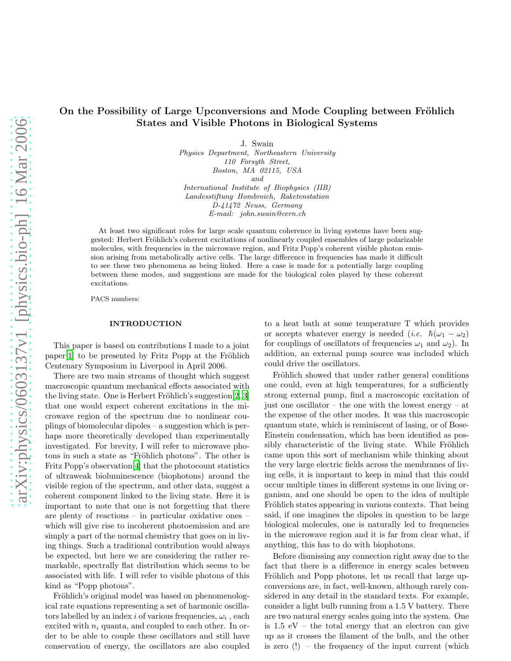## On the Possibility of Large Upconversions and Mode Coupling between Fröhlich States and Visible Photons in Biological Systems

J. Swain

*Physics Department, Northeastern University 110 Forsyth Street, Boston, MA 02115, USA and International Institute of Biophysics (IIB) Landesstiftung Hombroich, Raketenstation D-41472 Neuss, Germany E-mail: john.swain@cern.ch*

At least two significant roles for large scale quantum coherence in living systems have been suggested: Herbert Fröhlich's coherent excitations of nonlinearly coupled ensembles of large polarizable molecules, with frequencies in the microwave region, and Fritz Popp's coherent visible photon emission arising from metabolically active cells. The large difference in frequencies has made it difficult to see these two phenomena as being linked. Here a case is made for a potentially large coupling between these modes, and suggestions are made for the biological roles played by these coherent excitations.

PACS numbers:

## INTRODUCTION

This paper is based on contributions I made to a joint  $paper[1]$  $paper[1]$  to be presented by Fritz Popp at the Fröhlich Centenary Symposium in Liverpool in April 2006.

There are two main streams of thought which suggest macroscopic quantum mechanical effects associated with the living state. One is Herbert Fröhlich's suggestion $[2, 3]$  $[2, 3]$  $[2, 3]$  $[2, 3]$ that one would expect coherent excitations in the microwave region of the spectrum due to nonlinear couplings of biomolecular dipoles – a suggestion which is perhaps more theoretically developed than experimentally investigated. For brevity, I will refer to microwave photons in such a state as "Fröhlich photons". The other is Fritz Popp's observation[\[4\]](#page-3-0) that the photocount statistics of ultraweak bioluminescence (biophotons) around the visible region of the spectrum, and other data, suggest a coherent component linked to the living state. Here it is important to note that one is not forgetting that there are plenty of reactions – in particular oxidative ones – which will give rise to incoherent photoemission and are simply a part of the normal chemistry that goes on in living things. Such a traditional contribution would always be expected, but here we are considering the rather remarkable, spectrally flat distribution which seems to be associated with life. I will refer to visible photons of this kind as "Popp photons".

Fröhlich's original model was based on phenomenological rate equations representing a set of harmonic oscillators labelled by an index i of various frequencies,  $\omega_i$ , each excited with  $n_i$  quanta, and coupled to each other. In order to be able to couple these oscillators and still have conservation of energy, the oscillators are also coupled

to a heat bath at some temperature T which provides or accepts whatever energy is needed (*i.e.*  $\hbar(\omega_1 - \omega_2)$ ) for couplings of oscillators of frequencies  $\omega_1$  and  $\omega_2$ ). In addition, an external pump source was included which could drive the oscillators.

Fröhlich showed that under rather general conditions one could, even at high temperatures, for a sufficiently strong external pump, find a macroscopic excitation of just one oscillator – the one with the lowest energy – at the expense of the other modes. It was this macroscopic quantum state, which is reminiscent of lasing, or of Bose-Einstein condensation, which has been identified as possibly characteristic of the living state. While Fröhlich came upon this sort of mechanism while thinking about the very large electric fields across the membranes of living cells, it is important to keep in mind that this could occur multiple times in different systems in one living organism, and one should be open to the idea of multiple Fröhlich states appearing in various contexts. That being said, if one imagines the dipoles in question to be large biological molecules, one is naturally led to frequencies in the microwave region and it is far from clear what, if anything, this has to do with biophotons.

Before dismissing any connection right away due to the fact that there is a difference in energy scales between Fröhlich and Popp photons, let us recall that large upconversions are, in fact, well-known, although rarely considered in any detail in the standard texts. For example, consider a light bulb running from a 1.5 V battery. There are two natural energy scales going into the system. One is  $1.5$  eV – the total energy that an electron can give up as it crosses the filament of the bulb, and the other is zero  $(!)$  – the frequency of the input current (which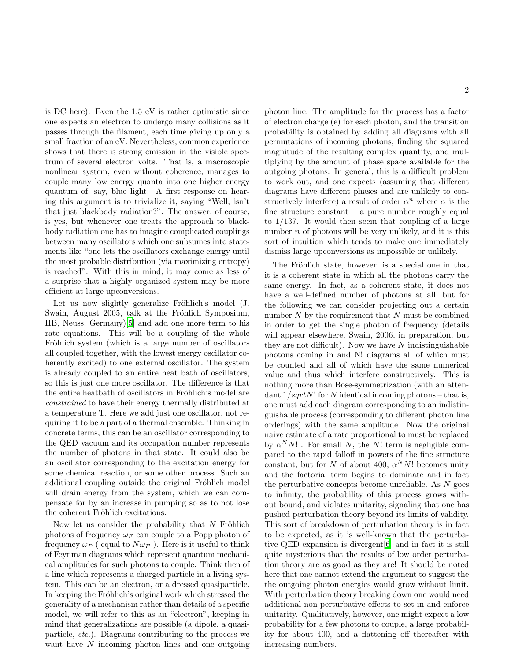is DC here). Even the 1.5 eV is rather optimistic since one expects an electron to undergo many collisions as it passes through the filament, each time giving up only a small fraction of an eV. Nevertheless, common experience shows that there is strong emission in the visible spectrum of several electron volts. That is, a macroscopic nonlinear system, even without coherence, manages to couple many low energy quanta into one higher energy quantum of, say, blue light. A first response on hearing this argument is to trivialize it, saying "Well, isn't that just blackbody radiation?". The answer, of course, is yes, but whenever one treats the approach to blackbody radiation one has to imagine complicated couplings between many oscillators which one subsumes into statements like "one lets the oscillators exchange energy until the most probable distribution (via maximizing entropy) is reached". With this in mind, it may come as less of a surprise that a highly organized system may be more efficient at large upconversions.

Let us now slightly generalize Fröhlich's model (J. Swain, August 2005, talk at the Fröhlich Symposium, IIB, Neuss, Germany)[\[5\]](#page-3-1) and add one more term to his rate equations. This will be a coupling of the whole Fröhlich system (which is a large number of oscillators all coupled together, with the lowest energy oscillator coherently excited) to one external oscillator. The system is already coupled to an entire heat bath of oscillators, so this is just one more oscillator. The difference is that the entire heatbath of oscillators in Fröhlich's model are constrained to have their energy thermally distributed at a temperature T. Here we add just one oscillator, not requiring it to be a part of a thermal ensemble. Thinking in concrete terms, this can be an oscillator corresponding to the QED vacuum and its occupation number represents the number of photons in that state. It could also be an oscillator corresponding to the excitation energy for some chemical reaction, or some other process. Such an additional coupling outside the original Fröhlich model will drain energy from the system, which we can compensate for by an increase in pumping so as to not lose the coherent Fröhlich excitations.

Now let us consider the probability that  $N$  Fröhlich photons of frequency  $\omega_F$  can couple to a Popp photon of frequency  $\omega_P$  (equal to  $N\omega_F$ ). Here is it useful to think of Feynman diagrams which represent quantum mechanical amplitudes for such photons to couple. Think then of a line which represents a charged particle in a living system. This can be an electron, or a dressed quasiparticle. In keeping the Fröhlich's original work which stressed the generality of a mechanism rather than details of a specific model, we will refer to this as an "electron", keeping in mind that generalizations are possible (a dipole, a quasiparticle, etc.). Diagrams contributing to the process we want have  $N$  incoming photon lines and one outgoing photon line. The amplitude for the process has a factor of electron charge (e) for each photon, and the transition probability is obtained by adding all diagrams with all permutations of incoming photons, finding the squared magnitude of the resulting complex quantity, and multiplying by the amount of phase space available for the outgoing photons. In general, this is a difficult problem to work out, and one expects (assuming that different diagrams have different phases and are unlikely to constructively interfere) a result of order  $\alpha^n$  where  $\alpha$  is the fine structure constant  $-$  a pure number roughly equal to 1/137. It would then seem that coupling of a large number  $n$  of photons will be very unlikely, and it is this sort of intuition which tends to make one immediately dismiss large upconversions as impossible or unlikely.

The Fröhlich state, however, is a special one in that it is a coherent state in which all the photons carry the same energy. In fact, as a coherent state, it does not have a well-defined number of photons at all, but for the following we can consider projecting out a certain number  $N$  by the requirement that  $N$  must be combined in order to get the single photon of frequency (details will appear elsewhere, Swain, 2006, in preparation, but they are not difficult). Now we have  $N$  indistinguishable photons coming in and N! diagrams all of which must be counted and all of which have the same numerical value and thus which interfere constructively. This is nothing more than Bose-symmetrization (with an attendant  $1/sqrtN!$  for N identical incoming photons – that is, one must add each diagram corresponding to an indistinguishable process (corresponding to different photon line orderings) with the same amplitude. Now the original naive estimate of a rate proportional to must be replaced by  $\alpha^N N!$ . For small N, the N! term is negligible compared to the rapid falloff in powers of the fine structure constant, but for N of about 400,  $\alpha^N N!$  becomes unity and the factorial term begins to dominate and in fact the perturbative concepts become unreliable. As  $N$  goes to infinity, the probability of this process grows without bound, and violates unitarity, signaling that one has pushed perturbation theory beyond its limits of validity. This sort of breakdown of perturbation theory is in fact to be expected, as it is well-known that the perturbative QED expansion is divergent[\[6\]](#page-3-2) and in fact it is still quite mysterious that the results of low order perturbation theory are as good as they are! It should be noted here that one cannot extend the argument to suggest the the outgoing photon energies would grow without limit. With perturbation theory breaking down one would need additional non-perturbative effects to set in and enforce unitarity. Qualitatively, however, one might expect a low probability for a few photons to couple, a large probability for about 400, and a flattening off thereafter with increasing numbers.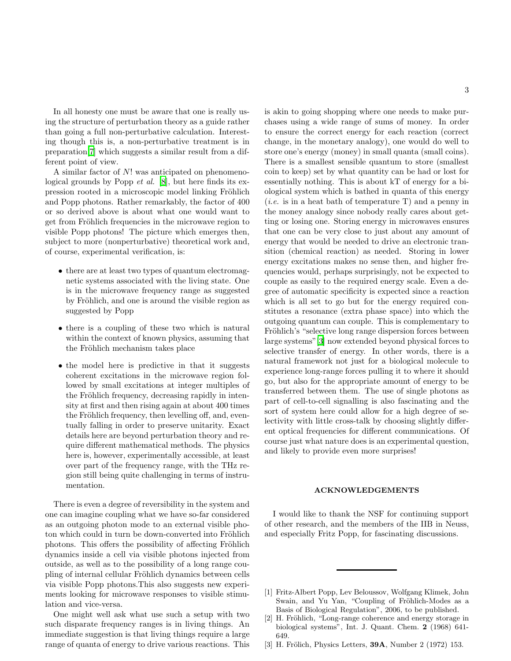In all honesty one must be aware that one is really using the structure of perturbation theory as a guide rather than going a full non-perturbative calculation. Interesting though this is, a non-perturbative treatment is in preparation[\[7](#page-3-3)] which suggests a similar result from a different point of view.

A similar factor of N! was anticipated on phenomenological grounds by Popp et al. [\[8](#page-3-4)], but here finds its expression rooted in a microscopic model linking Fröhlich and Popp photons. Rather remarkably, the factor of 400 or so derived above is about what one would want to get from Fröhlich frequencies in the microwave region to visible Popp photons! The picture which emerges then, subject to more (nonperturbative) theoretical work and, of course, experimental verification, is:

- there are at least two types of quantum electromagnetic systems associated with the living state. One is in the microwave frequency range as suggested by Fröhlich, and one is around the visible region as suggested by Popp
- there is a coupling of these two which is natural within the context of known physics, assuming that the Fröhlich mechanism takes place
- the model here is predictive in that it suggests coherent excitations in the microwave region followed by small excitations at integer multiples of the Fröhlich frequency, decreasing rapidly in intensity at first and then rising again at about 400 times the Fröhlich frequency, then levelling off, and, eventually falling in order to preserve unitarity. Exact details here are beyond perturbation theory and require different mathematical methods. The physics here is, however, experimentally accessible, at least over part of the frequency range, with the THz region still being quite challenging in terms of instrumentation.

There is even a degree of reversibility in the system and one can imagine coupling what we have so-far considered as an outgoing photon mode to an external visible photon which could in turn be down-converted into Fröhlich photons. This offers the possibility of affecting Fröhlich dynamics inside a cell via visible photons injected from outside, as well as to the possibility of a long range coupling of internal cellular Fröhlich dynamics between cells via visible Popp photons.This also suggests new experiments looking for microwave responses to visible stimulation and vice-versa.

One might well ask what use such a setup with two such disparate frequency ranges is in living things. An immediate suggestion is that living things require a large range of quanta of energy to drive various reactions. This

is akin to going shopping where one needs to make purchases using a wide range of sums of money. In order to ensure the correct energy for each reaction (correct change, in the monetary analogy), one would do well to store one's energy (money) in small quanta (small coins). There is a smallest sensible quantum to store (smallest coin to keep) set by what quantity can be had or lost for essentially nothing. This is about kT of energy for a biological system which is bathed in quanta of this energy (*i.e.* is in a heat bath of temperature  $T$ ) and a penny in the money analogy since nobody really cares about getting or losing one. Storing energy in microwaves ensures that one can be very close to just about any amount of energy that would be needed to drive an electronic transition (chemical reaction) as needed. Storing in lower energy excitations makes no sense then, and higher frequencies would, perhaps surprisingly, not be expected to couple as easily to the required energy scale. Even a degree of automatic specificity is expected since a reaction which is all set to go but for the energy required constitutes a resonance (extra phase space) into which the outgoing quantum can couple. This is complementary to Fröhlich's "selective long range dispersion forces between large systems"[\[3](#page-2-2)] now extended beyond physical forces to selective transfer of energy. In other words, there is a natural framework not just for a biological molecule to experience long-range forces pulling it to where it should go, but also for the appropriate amount of energy to be transferred between them. The use of single photons as part of cell-to-cell signalling is also fascinating and the sort of system here could allow for a high degree of selectivity with little cross-talk by choosing slightly different optical frequencies for different communications. Of course just what nature does is an experimental question, and likely to provide even more surprises!

## ACKNOWLEDGEMENTS

I would like to thank the NSF for continuing support of other research, and the members of the IIB in Neuss, and especially Fritz Popp, for fascinating discussions.

- <span id="page-2-0"></span>[1] Fritz-Albert Popp, Lev Beloussov, Wolfgang Klimek, John Swain, and Yu Yan, "Coupling of Fröhlich-Modes as a Basis of Biological Regulation", 2006, to be published.
- <span id="page-2-1"></span>[2] H. Fröhlich, "Long-range coherence and energy storage in biological systems", Int. J. Quant. Chem. 2 (1968) 641- 649.
- <span id="page-2-2"></span>[3] H. Frölich, Physics Letters,  $39A$ , Number 2 (1972) 153.